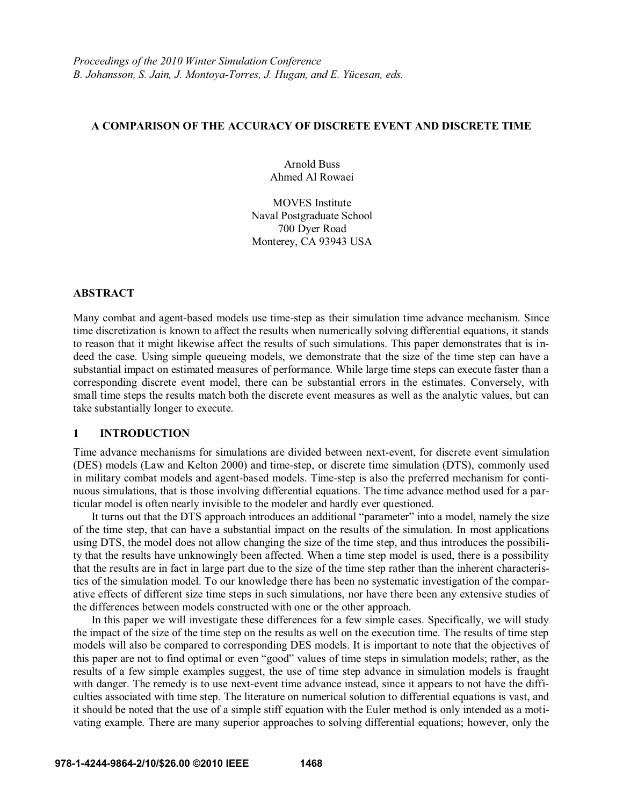## **A COMPARISON OF THE ACCURACY OF DISCRETE EVENT AND DISCRETE TIME**

Arnold Buss Ahmed Al Rowaei

MOVES Institute Naval Postgraduate School 700 Dyer Road Monterey, CA 93943 USA

### **ABSTRACT**

Many combat and agent-based models use time-step as their simulation time advance mechanism. Since time discretization is known to affect the results when numerically solving differential equations, it stands to reason that it might likewise affect the results of such simulations. This paper demonstrates that is indeed the case. Using simple queueing models, we demonstrate that the size of the time step can have a substantial impact on estimated measures of performance. While large time steps can execute faster than a corresponding discrete event model, there can be substantial errors in the estimates. Conversely, with small time steps the results match both the discrete event measures as well as the analytic values, but can take substantially longer to execute.

## **1 INTRODUCTION**

Time advance mechanisms for simulations are divided between next-event, for discrete event simulation (DES) models (Law and Kelton 2000) and time-step, or discrete time simulation (DTS), commonly used in military combat models and agent-based models. Time-step is also the preferred mechanism for continuous simulations, that is those involving differential equations. The time advance method used for a particular model is often nearly invisible to the modeler and hardly ever questioned.

It turns out that the DTS approach introduces an additional "parameter" into a model, namely the size of the time step, that can have a substantial impact on the results of the simulation. In most applications using DTS, the model does not allow changing the size of the time step, and thus introduces the possibility that the results have unknowingly been affected. When a time step model is used, there is a possibility that the results are in fact in large part due to the size of the time step rather than the inherent characteristics of the simulation model. To our knowledge there has been no systematic investigation of the comparative effects of different size time steps in such simulations, nor have there been any extensive studies of the differences between models constructed with one or the other approach.

In this paper we will investigate these differences for a few simple cases. Specifically, we will study the impact of the size of the time step on the results as well on the execution time. The results of time step models will also be compared to corresponding DES models. It is important to note that the objectives of this paper are not to find optimal or even "good" values of time steps in simulation models; rather, as the results of a few simple examples suggest, the use of time step advance in simulation models is fraught with danger. The remedy is to use next-event time advance instead, since it appears to not have the difficulties associated with time step. The literature on numerical solution to differential equations is vast, and it should be noted that the use of a simple stiff equation with the Euler method is only intended as a motivating example. There are many superior approaches to solving differential equations; however, only the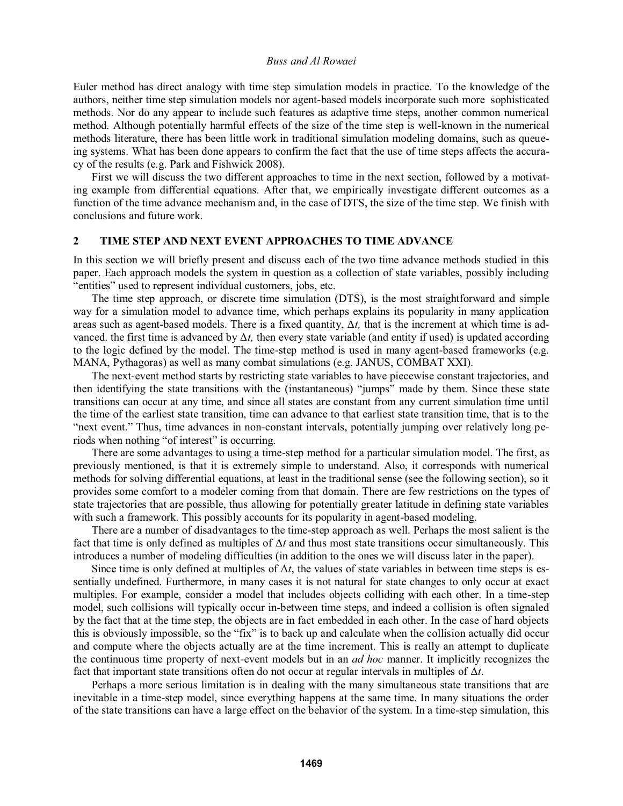Euler method has direct analogy with time step simulation models in practice. To the knowledge of the authors, neither time step simulation models nor agent-based models incorporate such more sophisticated methods. Nor do any appear to include such features as adaptive time steps, another common numerical method. Although potentially harmful effects of the size of the time step is well-known in the numerical methods literature, there has been little work in traditional simulation modeling domains, such as queueing systems. What has been done appears to confirm the fact that the use of time steps affects the accuracy of the results (e.g. Park and Fishwick 2008).

First we will discuss the two different approaches to time in the next section, followed by a motivating example from differential equations. After that, we empirically investigate different outcomes as a function of the time advance mechanism and, in the case of DTS, the size of the time step. We finish with conclusions and future work.

## **2 TIME STEP AND NEXT EVENT APPROACHES TO TIME ADVANCE**

In this section we will briefly present and discuss each of the two time advance methods studied in this paper. Each approach models the system in question as a collection of state variables, possibly including "entities" used to represent individual customers, jobs, etc.

The time step approach, or discrete time simulation (DTS), is the most straightforward and simple way for a simulation model to advance time, which perhaps explains its popularity in many application areas such as agent-based models. There is a fixed quantity,  $\Delta t$ , that is the increment at which time is advanced, the first time is advanced by  $\Delta t$ , then every state variable (and entity if used) is updated according to the logic defined by the model. The time-step method is used in many agent-based frameworks (e.g. MANA, Pythagoras) as well as many combat simulations (e.g. JANUS, COMBAT XXI).

The next-event method starts by restricting state variables to have piecewise constant trajectories, and then identifying the state transitions with the (instantaneous) "jumps" made by them. Since these state transitions can occur at any time, and since all states are constant from any current simulation time until the time of the earliest state transition, time can advance to that earliest state transition time, that is to the "next event." Thus, time advances in non-constant intervals, potentially jumping over relatively long periods when nothing "of interest" is occurring.

There are some advantages to using a time-step method for a particular simulation model. The first, as previously mentioned, is that it is extremely simple to understand. Also, it corresponds with numerical methods for solving differential equations, at least in the traditional sense (see the following section), so it provides some comfort to a modeler coming from that domain. There are few restrictions on the types of state trajectories that are possible, thus allowing for potentially greater latitude in defining state variables with such a framework. This possibly accounts for its popularity in agent-based modeling.

There are a number of disadvantages to the time-step approach as well. Perhaps the most salient is the fact that time is only defined as multiples of  $\Delta t$  and thus most state transitions occur simultaneously. This introduces a number of modeling difficulties (in addition to the ones we will discuss later in the paper).

Since time is only defined at multiples of  $\Delta t$ , the values of state variables in between time steps is essentially undefined. Furthermore, in many cases it is not natural for state changes to only occur at exact multiples. For example, consider a model that includes objects colliding with each other. In a time-step model, such collisions will typically occur in-between time steps, and indeed a collision is often signaled by the fact that at the time step, the objects are in fact embedded in each other. In the case of hard objects this is obviously impossible, so the "fix" is to back up and calculate when the collision actually did occur and compute where the objects actually are at the time increment. This is really an attempt to duplicate the continuous time property of next-event models but in an *ad hoc* manner. It implicitly recognizes the fact that important state transitions often do not occur at regular intervals in multiples of  $\Delta t$ .

Perhaps a more serious limitation is in dealing with the many simultaneous state transitions that are inevitable in a time-step model, since everything happens at the same time. In many situations the order of the state transitions can have a large effect on the behavior of the system. In a time-step simulation, this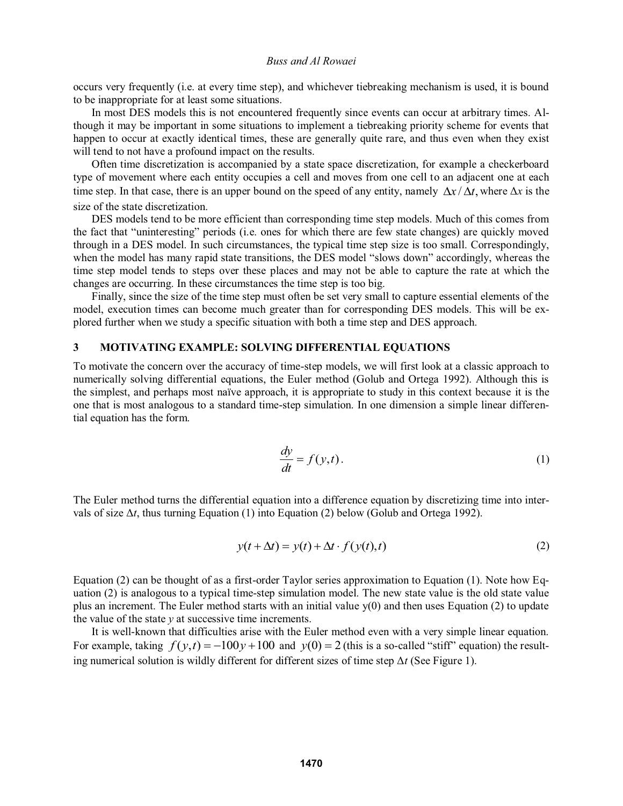occurs very frequently (i.e. at every time step), and whichever tiebreaking mechanism is used, it is bound to be inappropriate for at least some situations.

In most DES models this is not encountered frequently since events can occur at arbitrary times. Although it may be important in some situations to implement a tiebreaking priority scheme for events that happen to occur at exactly identical times, these are generally quite rare, and thus even when they exist will tend to not have a profound impact on the results.

Often time discretization is accompanied by a state space discretization, for example a checkerboard type of movement where each entity occupies a cell and moves from one cell to an adjacent one at each time step. In that case, there is an upper bound on the speed of any entity, namely  $\Delta x / \Delta t$ , where  $\Delta x$  is the size of the state discretization.

DES models tend to be more efficient than corresponding time step models. Much of this comes from the fact that "uninteresting" periods (i.e. ones for which there are few state changes) are quickly moved through in a DES model. In such circumstances, the typical time step size is too small. Correspondingly, when the model has many rapid state transitions, the DES model "slows down" accordingly, whereas the time step model tends to steps over these places and may not be able to capture the rate at which the changes are occurring. In these circumstances the time step is too big.

Finally, since the size of the time step must often be set very small to capture essential elements of the model, execution times can become much greater than for corresponding DES models. This will be explored further when we study a specific situation with both a time step and DES approach.

## **3 MOTIVATING EXAMPLE: SOLVING DIFFERENTIAL EQUATIONS**

To motivate the concern over the accuracy of time-step models, we will first look at a classic approach to numerically solving differential equations, the Euler method (Golub and Ortega 1992). Although this is the simplest, and perhaps most naïve approach, it is appropriate to study in this context because it is the one that is most analogous to a standard time-step simulation. In one dimension a simple linear differential equation has the form.

$$
\frac{dy}{dt} = f(y, t). \tag{1}
$$

The Euler method turns the differential equation into a difference equation by discretizing time into intervals of size  $\Delta t$ , thus turning Equation (1) into Equation (2) below (Golub and Ortega 1992).

$$
y(t + \Delta t) = y(t) + \Delta t \cdot f(y(t), t)
$$
\n(2)

Equation (2) can be thought of as a first-order Taylor series approximation to Equation (1). Note how Equation (2) is analogous to a typical time-step simulation model. The new state value is the old state value plus an increment. The Euler method starts with an initial value y(0) and then uses Equation (2) to update the value of the state *y* at successive time increments.

It is well-known that difficulties arise with the Euler method even with a very simple linear equation. For example, taking  $f(y,t) = -100y + 100$  and  $y(0) = 2$  (this is a so-called "stiff" equation) the resulting numerical solution is wildly different for different sizes of time step  $\Delta t$  (See Figure 1).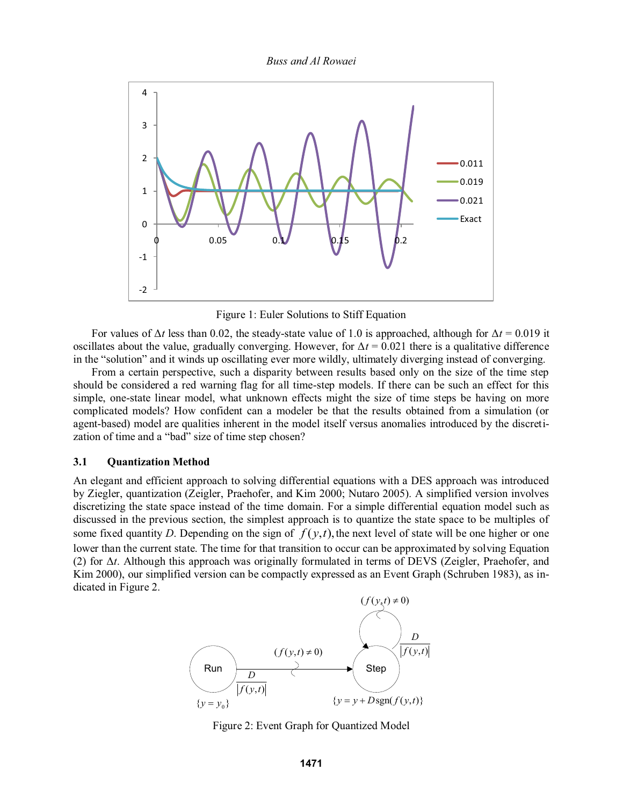

Figure 1: Euler Solutions to Stiff Equation

For values of  $\Delta t$  less than 0.02, the steady-state value of 1.0 is approached, although for  $\Delta t = 0.019$  it oscillates about the value, gradually converging. However, for  $\Delta t = 0.021$  there is a qualitative difference in the "solution" and it winds up oscillating ever more wildly, ultimately diverging instead of converging.

From a certain perspective, such a disparity between results based only on the size of the time step should be considered a red warning flag for all time-step models. If there can be such an effect for this simple, one-state linear model, what unknown effects might the size of time steps be having on more complicated models? How confident can a modeler be that the results obtained from a simulation (or agent-based) model are qualities inherent in the model itself versus anomalies introduced by the discreti zation of time and a "bad" size of time step chosen?

#### **3.1 Quantization Method**

An elegant and efficient approach to solving differential equations with a DES approach was introduced by Ziegler, quantization (Zeigler, Praehofer, and Kim 2000; Nutaro 2005). A simplified version involves discretizing the state space instead of the time domain. For a simple differential equation model such as discussed in the previous section, the simplest approach is to quantize the state space to be multiples of some fixed quantity *D*. Depending on the sign of  $f(y,t)$ , the next level of state will be one higher or one lower than the current state. The time for that transition to occur can be approximated by solving Equation (2) for  $\Delta t$ . Although this approach was originally formulated in terms of DEVS (Zeigler, Praehofer, and Kim 2000), our simplified version can be compactly expressed as an Event Graph (Schruben 1983), as indicated in Figure 2.



Figure 2: Event Graph for Quantized Model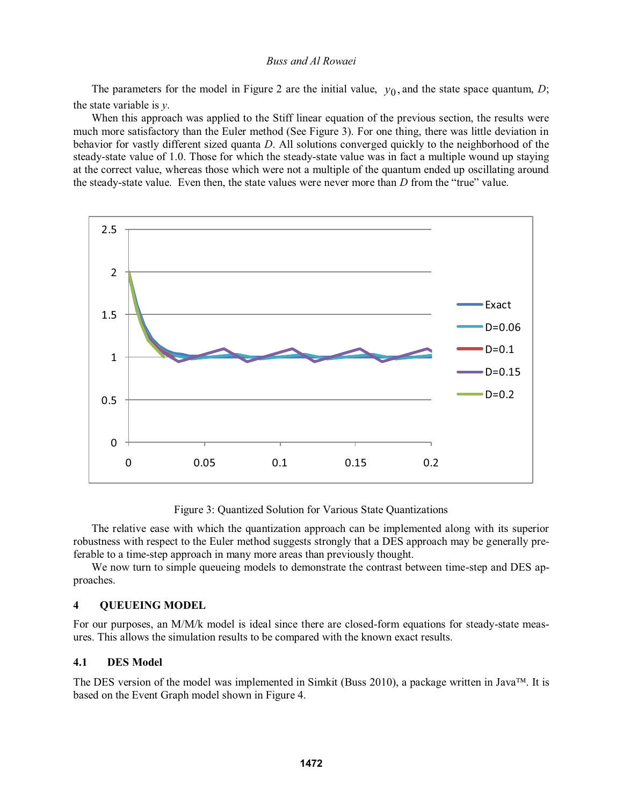The parameters for the model in Figure 2 are the initial value,  $y_0$ , and the state space quantum, *D*; the state variable is *y*.

When this approach was applied to the Stiff linear equation of the previous section, the results were much more satisfactory than the Euler method (See Figure 3). For one thing, there was little deviation in behavior for vastly different sized quanta *D*. All solutions converged quickly to the neighborhood of the steady-state value of 1.0. Those for which the steady-state value was in fact a multiple wound up staying at the correct value, whereas those which were not a multiple of the quantum ended up oscillating around the steady-state value. Even then, the state values were never more than  $D$  from the "true" value.



Figure 3: Quantized Solution for Various State Quantizations

The relative ease with which the quantization approach can be implemented along with its superior robustness with respect to the Euler method suggests strongly that a DES approach may be generally preferable to a time-step approach in many more areas than previously thought.

We now turn to simple queueing models to demonstrate the contrast between time-step and DES approaches.

# **4 QUEUEING MODEL**

For our purposes, an M/M/k model is ideal since there are closed-form equations for steady-state measures. This allows the simulation results to be compared with the known exact results.

### **4.1 DES Model**

The DES version of the model was implemented in Simkit (Buss 2010), a package written in Java<sup>TM</sup>. It is based on the Event Graph model shown in Figure 4.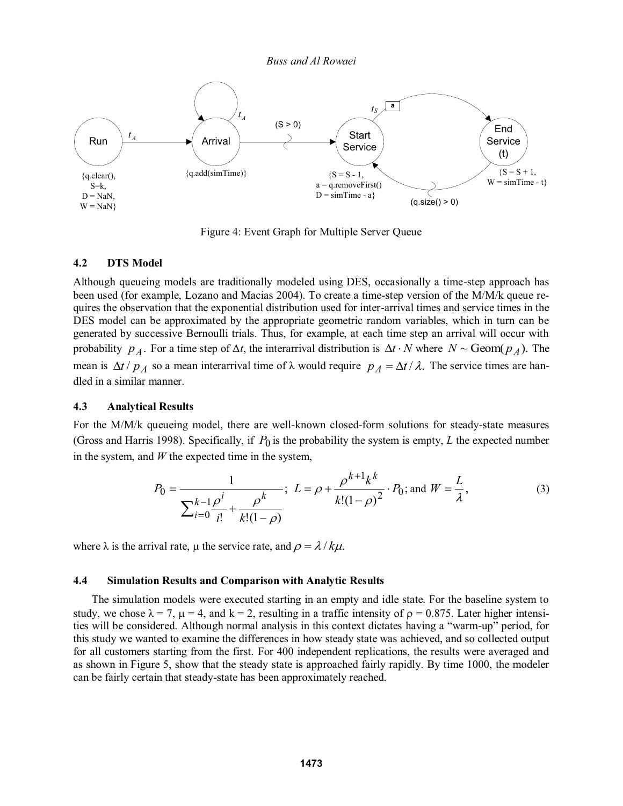

Figure 4: Event Graph for Multiple Server Queue

## **4.2 DTS Model**

Although queueing models are traditionally modeled using DES, occasionally a time-step approach has been used (for example, Lozano and Macias 2004). To create a time-step version of the M/M/k queue requires the observation that the exponential distribution used for inter-arrival times and service times in the DES model can be approximated by the appropriate geometric random variables, which in turn can be generated by successive Bernoulli trials. Thus, for example, at each time step an arrival will occur with probability  $p_A$ . For a time step of  $\Delta t$ , the interarrival distribution is  $\Delta t \cdot N$  where  $N \sim \text{Geom}(p_A)$ . The mean is  $\Delta t / p_A$  so a mean interarrival time of  $\lambda$  would require  $p_A = \Delta t / \lambda$ . The service times are handled in a similar manner.

### **4.3 Analytical Results**

For the M/M/k queueing model, there are well-known closed-form solutions for steady-state measures (Gross and Harris 1998). Specifically, if  $P_0$  is the probability the system is empty, *L* the expected number in the system, and *W* the expected time in the system,

$$
P_0 = \frac{1}{\sum_{i=0}^{k-1} \frac{\rho^i}{i!} + \frac{\rho^k}{k!(1-\rho)}}; \ L = \rho + \frac{\rho^{k+1} k^k}{k!(1-\rho)^2} \cdot P_0; \text{ and } W = \frac{L}{\lambda},
$$
 (3)

where  $\lambda$  is the arrival rate,  $\mu$  the service rate, and  $\rho = \lambda / k \mu$ .

### **4.4 Simulation Results and Comparison with Analytic Results**

The simulation models were executed starting in an empty and idle state. For the baseline system to study, we chose  $\lambda = 7$ ,  $\mu = 4$ , and  $k = 2$ , resulting in a traffic intensity of  $\rho = 0.875$ . Later higher intensities will be considered. Although normal analysis in this context dictates having a "warm-up" period, for this study we wanted to examine the differences in how steady state was achieved, and so collected output for all customers starting from the first. For 400 independent replications, the results were averaged and as shown in Figure 5, show that the steady state is approached fairly rapidly. By time 1000, the modeler can be fairly certain that steady-state has been approximately reached.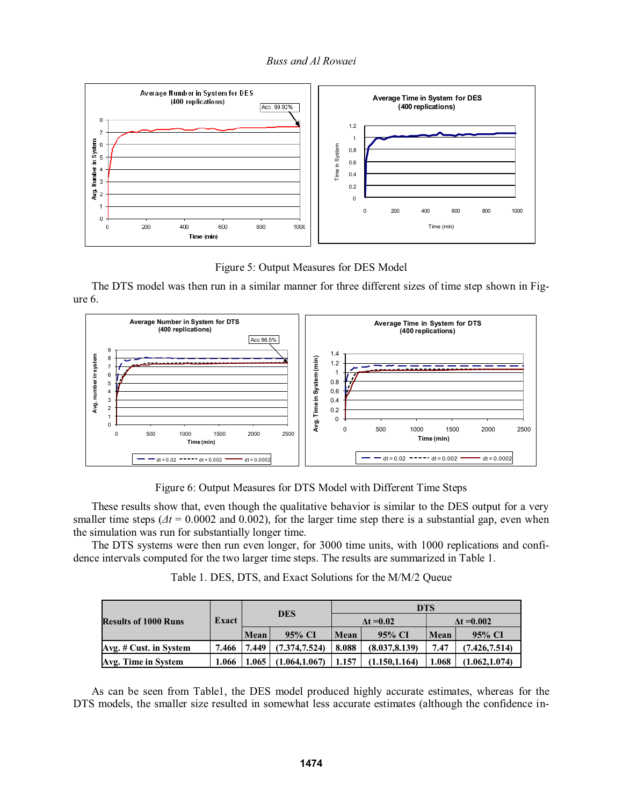

Figure 5: Output Measures for DES Model

The DTS model was then run in a similar manner for three different sizes of time step shown in Figure 6.



Figure 6: Output Measures for DTS Model with Different Time Steps

These results show that, even though the qualitative behavior is similar to the DES output for a very smaller time steps ( $\Delta t = 0.0002$  and 0.002), for the larger time step there is a substantial gap, even when the simulation was run for substantially longer time.

The DTS systems were then run even longer, for 3000 time units, with 1000 replications and confidence intervals computed for the two larger time steps. The results are summarized in Table 1.

Table 1. DES, DTS, and Exact Solutions for the M/M/2 Queue

|                             |       |       | <b>DES</b>    | <b>DTS</b>        |                |                    |                |  |
|-----------------------------|-------|-------|---------------|-------------------|----------------|--------------------|----------------|--|
| <b>Results of 1000 Runs</b> | Exact |       |               | $\Delta t = 0.02$ |                | $\Delta t = 0.002$ |                |  |
|                             |       | Mean  | 95% CI        | Mean              | 95% CI         | Mean               | 95% CI         |  |
| Avg. # Cust. in System      | 7.466 | 7.449 | (7.374.7.524) | 8.088             | (8.037, 8.139) | 7.47               | (7.426.7.514)  |  |
| Avg. Time in System         | 1.066 | .065  | (1.064.1.067) | 1.157             | (1.150.1.164)  | 1.068              | (1.062, 1.074) |  |

 As can be seen from Table1, the DES model produced highly accurate estimates, whereas for the DTS models, the smaller size resulted in somewhat less accurate estimates (although the confidence in-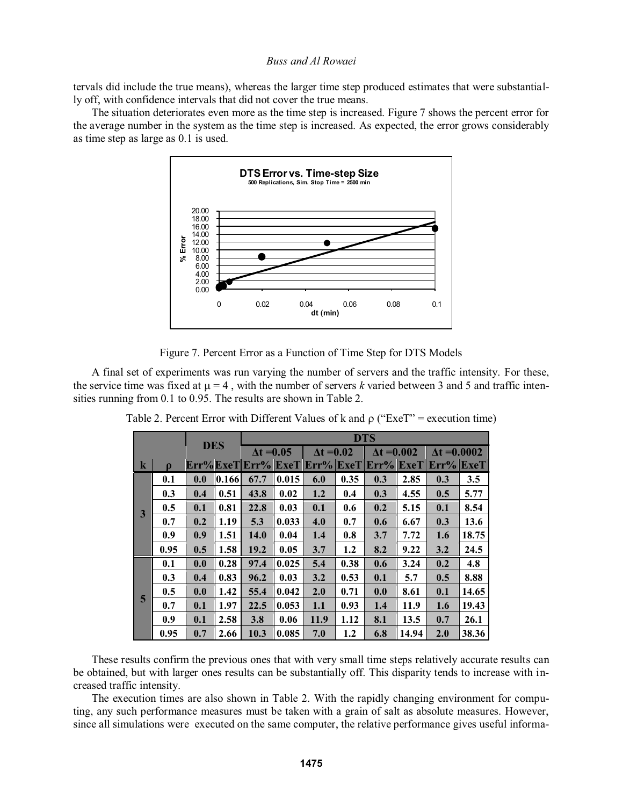tervals did include the true means), whereas the larger time step produced estimates that were substantially off, with confidence intervals that did not cover the true means.

The situation deteriorates even more as the time step is increased. Figure 7 shows the percent error for the average number in the system as the time step is increased. As expected, the error grows considerably as time step as large as 0.1 is used.



Figure 7. Percent Error as a Function of Time Step for DTS Models

A final set of experiments was run varying the number of servers and the traffic intensity. For these, the service time was fixed at  $\mu = 4$ , with the number of servers *k* varied between 3 and 5 and traffic intensities running from 0.1 to 0.95. The results are shown in Table 2.

|             |          | <b>DES</b> |       | <b>DTS</b>        |       |                       |      |                    |       |                     |                 |  |
|-------------|----------|------------|-------|-------------------|-------|-----------------------|------|--------------------|-------|---------------------|-----------------|--|
|             |          |            |       | $\Delta t = 0.05$ |       | $\Delta t = 0.02$     |      | $\Delta t = 0.002$ |       | $\Delta t = 0.0002$ |                 |  |
| $\mathbf k$ | $\bf{0}$ | Err%ExeT   |       |                   |       | $Err%$ ExeT Err% ExeT |      | $Err%$ ExeT        |       | Err%                | $\mathbf{ExeT}$ |  |
| 3           | 0.1      | 0.0        | 0.166 | 67.7              | 0.015 | 6.0                   | 0.35 | 0.3                | 2.85  | 0.3                 | 3.5             |  |
|             | 0.3      | 0.4        | 0.51  | 43.8              | 0.02  | 1.2                   | 0.4  | 0.3                | 4.55  | 0.5                 | 5.77            |  |
|             | 0.5      | 0.1        | 0.81  | 22.8              | 0.03  | 0.1                   | 0.6  | 0.2                | 5.15  | 0.1                 | 8.54            |  |
|             | 0.7      | 0.2        | 1.19  | 5.3               | 0.033 | 4.0                   | 0.7  | 0.6                | 6.67  | 0.3                 | 13.6            |  |
|             | 0.9      | 0.9        | 1.51  | 14.0              | 0.04  | 1.4                   | 0.8  | 3.7                | 7.72  | 1.6                 | 18.75           |  |
|             | 0.95     | 0.5        | 1.58  | 19.2              | 0.05  | 3.7                   | 1.2  | 8.2                | 9.22  | 3.2                 | 24.5            |  |
| 5           | 0.1      | 0.0        | 0.28  | 97.4              | 0.025 | 5.4                   | 0.38 | 0.6                | 3.24  | 0.2                 | 4.8             |  |
|             | 0.3      | 0.4        | 0.83  | 96.2              | 0.03  | 3.2                   | 0.53 | 0.1                | 5.7   | 0.5                 | 8.88            |  |
|             | 0.5      | 0.0        | 1.42  | 55.4              | 0.042 | 2.0                   | 0.71 | 0.0                | 8.61  | 0.1                 | 14.65           |  |
|             | 0.7      | 0.1        | 1.97  | 22.5              | 0.053 | 1.1                   | 0.93 | 1.4                | 11.9  | 1.6                 | 19.43           |  |
|             | 0.9      | 0.1        | 2.58  | 3.8               | 0.06  | 11.9                  | 1.12 | 8.1                | 13.5  | 0.7                 | 26.1            |  |
|             | 0.95     | 0.7        | 2.66  | 10.3              | 0.085 | 7.0                   | 1.2  | 6.8                | 14.94 | 2.0                 | 38.36           |  |

Table 2. Percent Error with Different Values of k and  $\rho$  ("ExeT" = execution time)

These results confirm the previous ones that with very small time steps relatively accurate results can be obtained, but with larger ones results can be substantially off. This disparity tends to increase with increased traffic intensity.

The execution times are also shown in Table 2. With the rapidly changing environment for computing, any such performance measures must be taken with a grain of salt as absolute measures. However, since all simulations were executed on the same computer, the relative performance gives useful informa-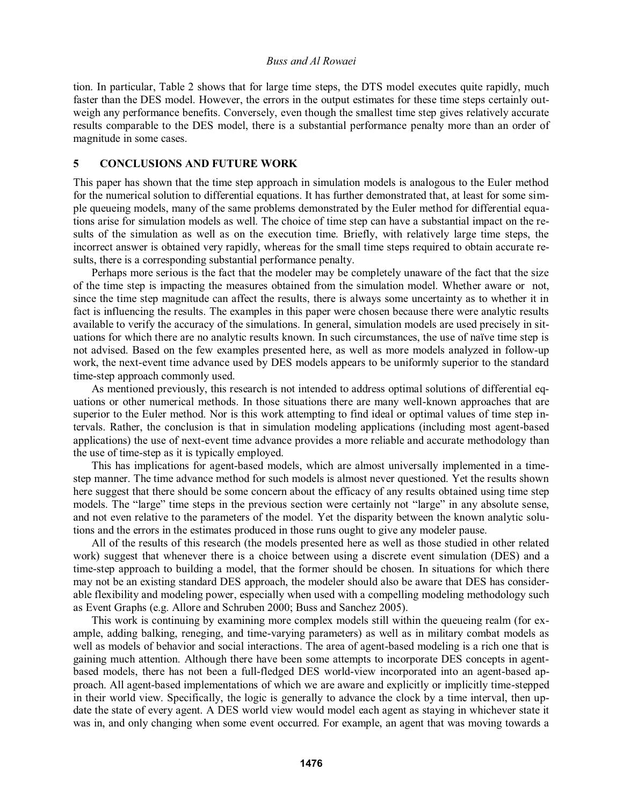tion. In particular, Table 2 shows that for large time steps, the DTS model executes quite rapidly, much faster than the DES model. However, the errors in the output estimates for these time steps certainly outweigh any performance benefits. Conversely, even though the smallest time step gives relatively accurate results comparable to the DES model, there is a substantial performance penalty more than an order of magnitude in some cases.

#### **5 CONCLUSIONS AND FUTURE WORK**

This paper has shown that the time step approach in simulation models is analogous to the Euler method for the numerical solution to differential equations. It has further demonstrated that, at least for some simple queueing models, many of the same problems demonstrated by the Euler method for differential equations arise for simulation models as well. The choice of time step can have a substantial impact on the results of the simulation as well as on the execution time. Briefly, with relatively large time steps, the incorrect answer is obtained very rapidly, whereas for the small time steps required to obtain accurate results, there is a corresponding substantial performance penalty.

Perhaps more serious is the fact that the modeler may be completely unaware of the fact that the size of the time step is impacting the measures obtained from the simulation model. Whether aware or not, since the time step magnitude can affect the results, there is always some uncertainty as to whether it in fact is influencing the results. The examples in this paper were chosen because there were analytic results available to verify the accuracy of the simulations. In general, simulation models are used precisely in situations for which there are no analytic results known. In such circumstances, the use of naïve time step is not advised. Based on the few examples presented here, as well as more models analyzed in follow-up work, the next-event time advance used by DES models appears to be uniformly superior to the standard time-step approach commonly used.

As mentioned previously, this research is not intended to address optimal solutions of differential equations or other numerical methods. In those situations there are many well-known approaches that are superior to the Euler method. Nor is this work attempting to find ideal or optimal values of time step intervals. Rather, the conclusion is that in simulation modeling applications (including most agent-based applications) the use of next-event time advance provides a more reliable and accurate methodology than the use of time-step as it is typically employed.

This has implications for agent-based models, which are almost universally implemented in a timestep manner. The time advance method for such models is almost never questioned. Yet the results shown here suggest that there should be some concern about the efficacy of any results obtained using time step models. The "large" time steps in the previous section were certainly not "large" in any absolute sense, and not even relative to the parameters of the model. Yet the disparity between the known analytic solutions and the errors in the estimates produced in those runs ought to give any modeler pause.

All of the results of this research (the models presented here as well as those studied in other related work) suggest that whenever there is a choice between using a discrete event simulation (DES) and a time-step approach to building a model, that the former should be chosen. In situations for which there may not be an existing standard DES approach, the modeler should also be aware that DES has considerable flexibility and modeling power, especially when used with a compelling modeling methodology such as Event Graphs (e.g. Allore and Schruben 2000; Buss and Sanchez 2005).

This work is continuing by examining more complex models still within the queueing realm (for example, adding balking, reneging, and time-varying parameters) as well as in military combat models as well as models of behavior and social interactions. The area of agent-based modeling is a rich one that is gaining much attention. Although there have been some attempts to incorporate DES concepts in agentbased models, there has not been a full-fledged DES world-view incorporated into an agent-based approach. All agent-based implementations of which we are aware and explicitly or implicitly time-stepped in their world view. Specifically, the logic is generally to advance the clock by a time interval, then update the state of every agent. A DES world view would model each agent as staying in whichever state it was in, and only changing when some event occurred. For example, an agent that was moving towards a